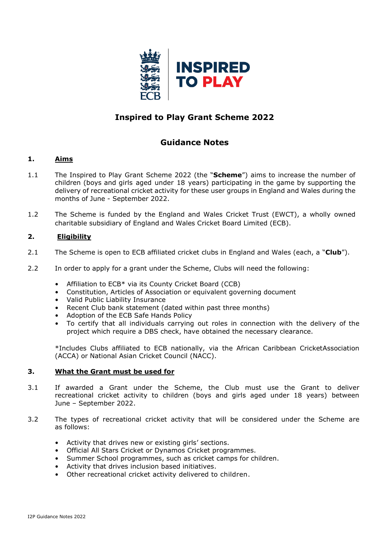

# **Inspired to Play Grant Scheme 2022**

## **Guidance Notes**

#### **1. Aims**

- 1.1 The Inspired to Play Grant Scheme 2022 (the "**Scheme**") aims to increase the number of children (boys and girls aged under 18 years) participating in the game by supporting the delivery of recreational cricket activity for these user groups in England and Wales during the months of June - September 2022.
- 1.2 The Scheme is funded by the England and Wales Cricket Trust (EWCT), a wholly owned charitable subsidiary of England and Wales Cricket Board Limited (ECB).

#### **2. Eligibility**

- 2.1 The Scheme is open to ECB affiliated cricket clubs in England and Wales (each, a "**Club**").
- 2.2 In order to apply for a grant under the Scheme, Clubs will need the following:
	- Affiliation to ECB\* via its County Cricket Board (CCB)
	- Constitution, Articles of Association or equivalent governing document
	- Valid Public Liability Insurance
	- Recent Club bank statement (dated within past three months)
	- Adoption of the ECB Safe Hands Policy
	- To certify that all individuals carrying out roles in connection with the delivery of the project which require a DBS check, have obtained the necessary clearance.

\*Includes Clubs affiliated to ECB nationally, via the African Caribbean CricketAssociation (ACCA) or National Asian Cricket Council (NACC).

#### **3. What the Grant must be used for**

- 3.1 If awarded a Grant under the Scheme, the Club must use the Grant to deliver recreational cricket activity to children (boys and girls aged under 18 years) between June – September 2022.
- 3.2 The types of recreational cricket activity that will be considered under the Scheme are as follows:
	- Activity that drives new or existing girls' sections.
	- Official All Stars Cricket or Dynamos Cricket programmes.
	- Summer School programmes, such as cricket camps for children.
	- Activity that drives inclusion based initiatives.
	- Other recreational cricket activity delivered to children.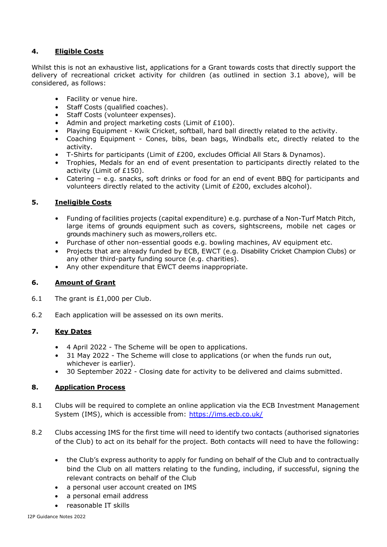### **4. Eligible Costs**

Whilst this is not an exhaustive list, applications for a Grant towards costs that directly support the delivery of recreational cricket activity for children (as outlined in section 3.1 above), will be considered, as follows:

- Facility or venue hire.
- Staff Costs (qualified coaches).
- Staff Costs (volunteer expenses).
- Admin and project marketing costs (Limit of £100).
- Playing Equipment Kwik Cricket, softball, hard ball directly related to the activity.
- Coaching Equipment Cones, bibs, bean bags, Windballs etc, directly related to the activity.
- T-Shirts for participants (Limit of £200, excludes Official All Stars & Dynamos).
- Trophies, Medals for an end of event presentation to participants directly related to the activity (Limit of £150).
- Catering e.g. snacks, soft drinks or food for an end of event BBQ for participants and volunteers directly related to the activity (Limit of £200, excludes alcohol).

#### **5. Ineligible Costs**

- Funding of facilities projects (capital expenditure) e.g. purchase of a Non-Turf Match Pitch, large items of grounds equipment such as covers, sightscreens, mobile net cages or grounds machinery such as mowers,rollers etc.
- Purchase of other non-essential goods e.g. bowling machines, AV equipment etc.
- Projects that are already funded by ECB, EWCT (e.g. Disability Cricket Champion Clubs) or any other third-party funding source (e.g. charities).
- Any other expenditure that EWCT deems inappropriate.

#### **6. Amount of Grant**

- 6.1 The grant is £1,000 per Club.
- 6.2 Each application will be assessed on its own merits.

## **7. Key Dates**

- 4 April 2022 The Scheme will be open to applications.
- 31 May 2022 The Scheme will close to applications (or when the funds run out, whichever is earlier).
- 30 September 2022 Closing date for activity to be delivered and claims submitted.

#### **8. Application Process**

- 8.1 Clubs will be required to complete an online application via the ECB Investment Management System (IMS), which is accessible from: <https://ims.ecb.co.uk/>
- 8.2 Clubs accessing IMS for the first time will need to identify two contacts (authorised signatories of the Club) to act on its behalf for the project. Both contacts will need to have the following:
	- the Club's express authority to apply for funding on behalf of the Club and to contractually bind the Club on all matters relating to the funding, including, if successful, signing the relevant contracts on behalf of the Club
	- a personal user account created on IMS
	- a personal email address
	- reasonable IT skills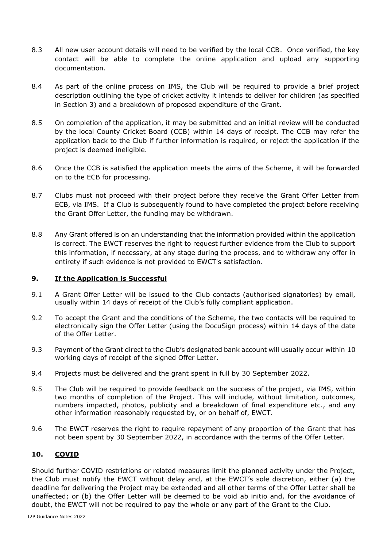- 8.3 All new user account details will need to be verified by the local CCB. Once verified, the key contact will be able to complete the online application and upload any supporting documentation.
- 8.4 As part of the online process on IMS, the Club will be required to provide a brief project description outlining the type of cricket activity it intends to deliver for children (as specified in Section 3) and a breakdown of proposed expenditure of the Grant.
- 8.5 On completion of the application, it may be submitted and an initial review will be conducted by the local County Cricket Board (CCB) within 14 days of receipt. The CCB may refer the application back to the Club if further information is required, or reject the application if the project is deemed ineligible.
- 8.6 Once the CCB is satisfied the application meets the aims of the Scheme, it will be forwarded on to the ECB for processing.
- 8.7 Clubs must not proceed with their project before they receive the Grant Offer Letter from ECB, via IMS. If a Club is subsequently found to have completed the project before receiving the Grant Offer Letter, the funding may be withdrawn.
- 8.8 Any Grant offered is on an understanding that the information provided within the application is correct. The EWCT reserves the right to request further evidence from the Club to support this information, if necessary, at any stage during the process, and to withdraw any offer in entirety if such evidence is not provided to EWCT's satisfaction.

#### **9. If the Application is Successful**

- 9.1 A Grant Offer Letter will be issued to the Club contacts (authorised signatories) by email, usually within 14 days of receipt of the Club's fully compliant application.
- 9.2 To accept the Grant and the conditions of the Scheme, the two contacts will be required to electronically sign the Offer Letter (using the DocuSign process) within 14 days of the date of the Offer Letter.
- 9.3 Payment of the Grant direct to the Club's designated bank account will usually occur within 10 working days of receipt of the signed Offer Letter.
- 9.4 Projects must be delivered and the grant spent in full by 30 September 2022.
- 9.5 The Club will be required to provide feedback on the success of the project, via IMS, within two months of completion of the Project. This will include, without limitation, outcomes, numbers impacted, photos, publicity and a breakdown of final expenditure etc., and any other information reasonably requested by, or on behalf of, EWCT.
- 9.6 The EWCT reserves the right to require repayment of any proportion of the Grant that has not been spent by 30 September 2022, in accordance with the terms of the Offer Letter.

#### **10. COVID**

Should further COVID restrictions or related measures limit the planned activity under the Project, the Club must notify the EWCT without delay and, at the EWCT's sole discretion, either (a) the deadline for delivering the Project may be extended and all other terms of the Offer Letter shall be unaffected; or (b) the Offer Letter will be deemed to be void ab initio and, for the avoidance of doubt, the EWCT will not be required to pay the whole or any part of the Grant to the Club.